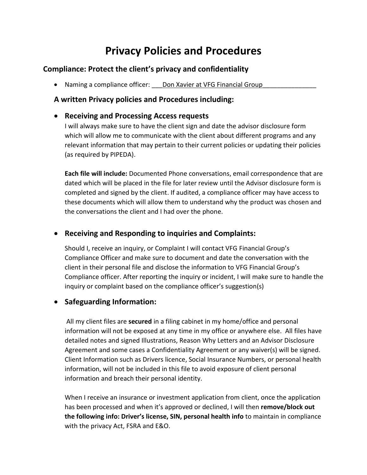# **Privacy Policies and Procedures**

### **Compliance: Protect the client's privacy and confidentiality**

• Naming a compliance officer: Don Xavier at VFG Financial Group

#### **A written Privacy policies and Procedures including:**

#### **Receiving and Processing Access requests**

I will always make sure to have the client sign and date the advisor disclosure form which will allow me to communicate with the client about different programs and any relevant information that may pertain to their current policies or updating their policies (as required by PIPEDA).

**Each file will include:** Documented Phone conversations, email correspondence that are dated which will be placed in the file for later review until the Advisor disclosure form is completed and signed by the client. If audited, a compliance officer may have access to these documents which will allow them to understand why the product was chosen and the conversations the client and I had over the phone.

# **Receiving and Responding to inquiries and Complaints:**

Should I, receive an inquiry, or Complaint I will contact VFG Financial Group's Compliance Officer and make sure to document and date the conversation with the client in their personal file and disclose the information to VFG Financial Group's Compliance officer. After reporting the inquiry or incident, I will make sure to handle the inquiry or complaint based on the compliance officer's suggestion(s)

# **Safeguarding Information:**

All my client files are **secured** in a filing cabinet in my home/office and personal information will not be exposed at any time in my office or anywhere else. All files have detailed notes and signed Illustrations, Reason Why Letters and an Advisor Disclosure Agreement and some cases a Confidentiality Agreement or any waiver(s) will be signed. Client Information such as Drivers licence, Social Insurance Numbers, or personal health information, will not be included in this file to avoid exposure of client personal information and breach their personal identity.

When I receive an insurance or investment application from client, once the application has been processed and when it's approved or declined, I will then **remove/block out the following info: Driver's license, SIN, personal health info** to maintain in compliance with the privacy Act, FSRA and E&O.